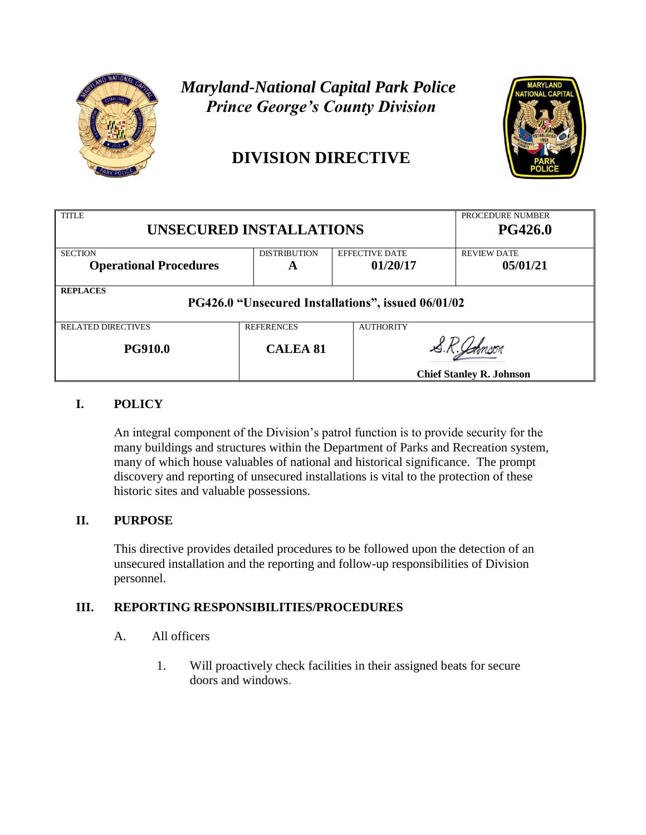

# *Maryland-National Capital Park Police Prince George's County Division*

# **DIVISION DIRECTIVE**



| <b>TITLE</b><br><b>UNSECURED INSTALLATIONS</b>     |                     |                       | PROCEDURE NUMBER<br><b>PG426.0</b> |  |
|----------------------------------------------------|---------------------|-----------------------|------------------------------------|--|
| <b>SECTION</b>                                     | <b>DISTRIBUTION</b> | <b>EFFECTIVE DATE</b> | <b>REVIEW DATE</b>                 |  |
| <b>Operational Procedures</b>                      | A                   | 01/20/17              | 05/01/21                           |  |
| <b>REPLACES</b>                                    |                     |                       |                                    |  |
| PG426.0 "Unsecured Installations", issued 06/01/02 |                     |                       |                                    |  |
| <b>RELATED DIRECTIVES</b>                          | <b>REFERENCES</b>   | <b>AUTHORITY</b>      |                                    |  |
| <b>PG910.0</b>                                     | <b>CALEA 81</b>     |                       |                                    |  |
|                                                    |                     |                       | <b>Chief Stanley R. Johnson</b>    |  |

### **I. POLICY**

An integral component of the Division's patrol function is to provide security for the many buildings and structures within the Department of Parks and Recreation system, many of which house valuables of national and historical significance. The prompt discovery and reporting of unsecured installations is vital to the protection of these historic sites and valuable possessions.

#### **II. PURPOSE**

This directive provides detailed procedures to be followed upon the detection of an unsecured installation and the reporting and follow-up responsibilities of Division personnel.

#### **III. REPORTING RESPONSIBILITIES/PROCEDURES**

- A. All officers
	- 1. Will proactively check facilities in their assigned beats for secure doors and windows.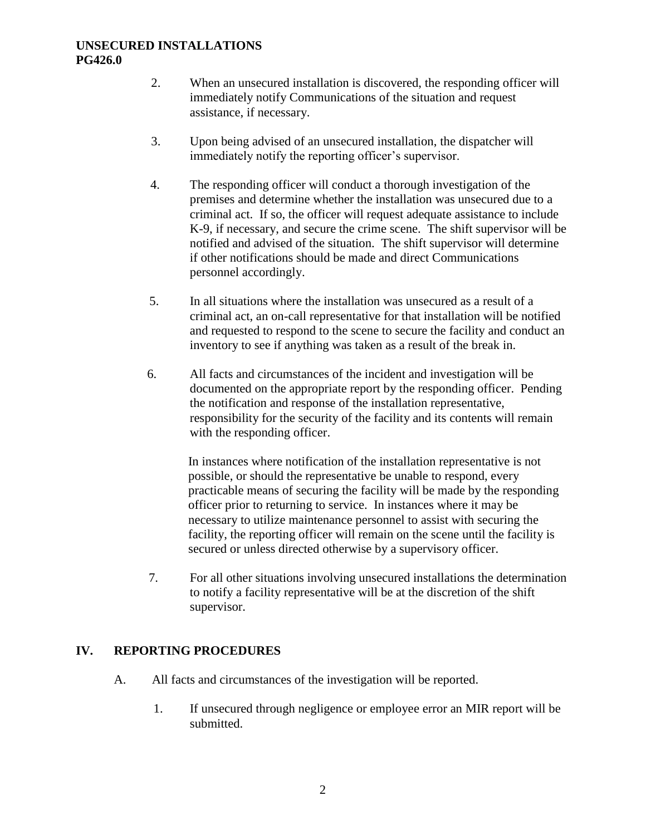#### **UNSECURED INSTALLATIONS PG426.0**

- 2. When an unsecured installation is discovered, the responding officer will immediately notify Communications of the situation and request assistance, if necessary.
- 3. Upon being advised of an unsecured installation, the dispatcher will immediately notify the reporting officer's supervisor.
- 4. The responding officer will conduct a thorough investigation of the premises and determine whether the installation was unsecured due to a criminal act. If so, the officer will request adequate assistance to include K-9, if necessary, and secure the crime scene. The shift supervisor will be notified and advised of the situation. The shift supervisor will determine if other notifications should be made and direct Communications personnel accordingly.
- 5. In all situations where the installation was unsecured as a result of a criminal act, an on-call representative for that installation will be notified and requested to respond to the scene to secure the facility and conduct an inventory to see if anything was taken as a result of the break in.
- 6. All facts and circumstances of the incident and investigation will be documented on the appropriate report by the responding officer. Pending the notification and response of the installation representative, responsibility for the security of the facility and its contents will remain with the responding officer.

In instances where notification of the installation representative is not possible, or should the representative be unable to respond, every practicable means of securing the facility will be made by the responding officer prior to returning to service. In instances where it may be necessary to utilize maintenance personnel to assist with securing the facility, the reporting officer will remain on the scene until the facility is secured or unless directed otherwise by a supervisory officer.

 7. For all other situations involving unsecured installations the determination to notify a facility representative will be at the discretion of the shift supervisor.

#### **IV. REPORTING PROCEDURES**

- A. All facts and circumstances of the investigation will be reported.
	- 1. If unsecured through negligence or employee error an MIR report will be submitted.